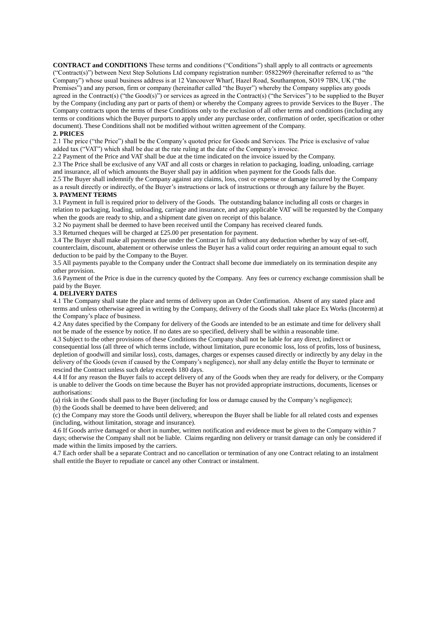**CONTRACT and CONDITIONS** These terms and conditions ("Conditions") shall apply to all contracts or agreements ("Contract(s)") between Next Step Solutions Ltd company registration number: 05822969 (hereinafter referred to as "the Company") whose usual business address is at 12 Vancouver Wharf, Hazel Road, Southampton, SO19 7BN, UK ("the Premises") and any person, firm or company (hereinafter called "the Buyer") whereby the Company supplies any goods agreed in the Contract(s) ("the Good(s)") or services as agreed in the Contract(s) ("the Services") to be supplied to the Buyer by the Company (including any part or parts of them) or whereby the Company agrees to provide Services to the Buyer . The Company contracts upon the terms of these Conditions only to the exclusion of all other terms and conditions (including any terms or conditions which the Buyer purports to apply under any purchase order, confirmation of order, specification or other document). These Conditions shall not be modified without written agreement of the Company.

## **2. PRICES**

2.1 The price ("the Price") shall be the Company's quoted price for Goods and Services. The Price is exclusive of value added tax ("VAT") which shall be due at the rate ruling at the date of the Company's invoice.

2.2 Payment of the Price and VAT shall be due at the time indicated on the invoice issued by the Company.

2.3 The Price shall be exclusive of any VAT and all costs or charges in relation to packaging, loading, unloading, carriage and insurance, all of which amounts the Buyer shall pay in addition when payment for the Goods falls due.

2.5 The Buyer shall indemnify the Company against any claims, loss, cost or expense or damage incurred by the Company as a result directly or indirectly, of the Buyer's instructions or lack of instructions or through any failure by the Buyer. **3. PAYMENT TERMS** 

3.1 Payment in full is required prior to delivery of the Goods. The outstanding balance including all costs or charges in relation to packaging, loading, unloading, carriage and insurance, and any applicable VAT will be requested by the Company when the goods are ready to ship, and a shipment date given on receipt of this balance.

3.2 No payment shall be deemed to have been received until the Company has received cleared funds.

3.3 Returned cheques will be charged at £25.00 per presentation for payment.

3.4 The Buyer shall make all payments due under the Contract in full without any deduction whether by way of set-off, counterclaim, discount, abatement or otherwise unless the Buyer has a valid court order requiring an amount equal to such deduction to be paid by the Company to the Buyer.

3.5 All payments payable to the Company under the Contract shall become due immediately on its termination despite any other provision.

3.6 Payment of the Price is due in the currency quoted by the Company. Any fees or currency exchange commission shall be paid by the Buyer.

# **4. DELIVERY DATES**

4.1 The Company shall state the place and terms of delivery upon an Order Confirmation. Absent of any stated place and terms and unless otherwise agreed in writing by the Company, delivery of the Goods shall take place Ex Works (Incoterm) at the Company's place of business.

4.2 Any dates specified by the Company for delivery of the Goods are intended to be an estimate and time for delivery shall not be made of the essence by notice. If no dates are so specified, delivery shall be within a reasonable time.

4.3 Subject to the other provisions of these Conditions the Company shall not be liable for any direct, indirect or consequential loss (all three of which terms include, without limitation, pure economic loss, loss of profits, loss of business, depletion of goodwill and similar loss), costs, damages, charges or expenses caused directly or indirectly by any delay in the delivery of the Goods (even if caused by the Company's negligence), nor shall any delay entitle the Buyer to terminate or rescind the Contract unless such delay exceeds 180 days.

4.4 If for any reason the Buyer fails to accept delivery of any of the Goods when they are ready for delivery, or the Company is unable to deliver the Goods on time because the Buyer has not provided appropriate instructions, documents, licenses or authorisations:

(a) risk in the Goods shall pass to the Buyer (including for loss or damage caused by the Company's negligence);

(b) the Goods shall be deemed to have been delivered; and

(c) the Company may store the Goods until delivery, whereupon the Buyer shall be liable for all related costs and expenses (including, without limitation, storage and insurance).

4.6 If Goods arrive damaged or short in number, written notification and evidence must be given to the Company within 7 days; otherwise the Company shall not be liable. Claims regarding non delivery or transit damage can only be considered if made within the limits imposed by the carriers.

4.7 Each order shall be a separate Contract and no cancellation or termination of any one Contract relating to an instalment shall entitle the Buyer to repudiate or cancel any other Contract or instalment.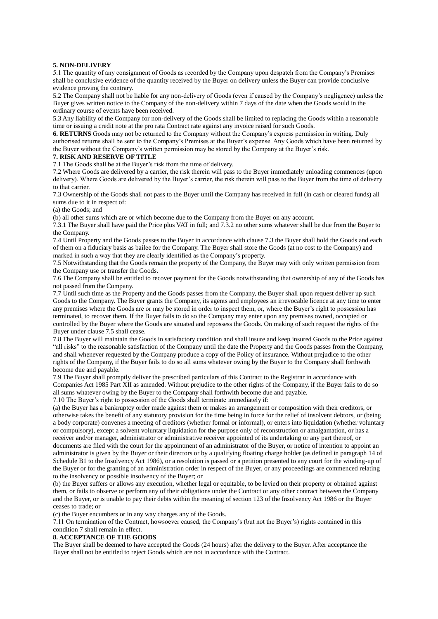## **5. NON-DELIVERY**

5.1 The quantity of any consignment of Goods as recorded by the Company upon despatch from the Company's Premises shall be conclusive evidence of the quantity received by the Buyer on delivery unless the Buyer can provide conclusive evidence proving the contrary.

5.2 The Company shall not be liable for any non-delivery of Goods (even if caused by the Company's negligence) unless the Buyer gives written notice to the Company of the non-delivery within 7 days of the date when the Goods would in the ordinary course of events have been received.

5.3 Any liability of the Company for non-delivery of the Goods shall be limited to replacing the Goods within a reasonable time or issuing a credit note at the pro rata Contract rate against any invoice raised for such Goods.

**6. RETURNS** Goods may not be returned to the Company without the Company's express permission in writing. Duly authorised returns shall be sent to the Company's Premises at the Buyer's expense. Any Goods which have been returned by the Buyer without the Company's written permission may be stored by the Company at the Buyer's risk.

# **7. RISK AND RESERVE OF TITLE**

7.1 The Goods shall be at the Buyer's risk from the time of delivery.

7.2 Where Goods are delivered by a carrier, the risk therein will pass to the Buyer immediately unloading commences (upon delivery). Where Goods are delivered by the Buyer's carrier, the risk therein will pass to the Buyer from the time of delivery to that carrier.

7.3 Ownership of the Goods shall not pass to the Buyer until the Company has received in full (in cash or cleared funds) all sums due to it in respect of:

(a) the Goods; and

(b) all other sums which are or which become due to the Company from the Buyer on any account.

7.3.1 The Buyer shall have paid the Price plus VAT in full; and 7.3.2 no other sums whatever shall be due from the Buyer to the Company.

7.4 Until Property and the Goods passes to the Buyer in accordance with clause 7.3 the Buyer shall hold the Goods and each of them on a fiduciary basis as bailee for the Company. The Buyer shall store the Goods (at no cost to the Company) and marked in such a way that they are clearly identified as the Company's property.

7.5 Notwithstanding that the Goods remain the property of the Company, the Buyer may with only written permission from the Company use or transfer the Goods.

7.6 The Company shall be entitled to recover payment for the Goods notwithstanding that ownership of any of the Goods has not passed from the Company.

7.7 Until such time as the Property and the Goods passes from the Company, the Buyer shall upon request deliver up such Goods to the Company. The Buyer grants the Company, its agents and employees an irrevocable licence at any time to enter any premises where the Goods are or may be stored in order to inspect them, or, where the Buyer's right to possession has terminated, to recover them. If the Buyer fails to do so the Company may enter upon any premises owned, occupied or controlled by the Buyer where the Goods are situated and repossess the Goods. On making of such request the rights of the Buyer under clause 7.5 shall cease.

7.8 The Buyer will maintain the Goods in satisfactory condition and shall insure and keep insured Goods to the Price against "all risks" to the reasonable satisfaction of the Company until the date the Property and the Goods passes from the Company, and shall whenever requested by the Company produce a copy of the Policy of insurance. Without prejudice to the other rights of the Company, if the Buyer fails to do so all sums whatever owing by the Buyer to the Company shall forthwith become due and payable.

7.9 The Buyer shall promptly deliver the prescribed particulars of this Contract to the Registrar in accordance with Companies Act 1985 Part XII as amended. Without prejudice to the other rights of the Company, if the Buyer fails to do so all sums whatever owing by the Buyer to the Company shall forthwith become due and payable.

7.10 The Buyer's right to possession of the Goods shall terminate immediately if:

(a) the Buyer has a bankruptcy order made against them or makes an arrangement or composition with their creditors, or otherwise takes the benefit of any statutory provision for the time being in force for the relief of insolvent debtors, or (being a body corporate) convenes a meeting of creditors (whether formal or informal), or enters into liquidation (whether voluntary or compulsory), except a solvent voluntary liquidation for the purpose only of reconstruction or amalgamation, or has a receiver and/or manager, administrator or administrative receiver appointed of its undertaking or any part thereof, or documents are filed with the court for the appointment of an administrator of the Buyer, or notice of intention to appoint an administrator is given by the Buyer or their directors or by a qualifying floating charge holder (as defined in paragraph 14 of Schedule B1 to the Insolvency Act 1986), or a resolution is passed or a petition presented to any court for the winding-up of the Buyer or for the granting of an administration order in respect of the Buyer, or any proceedings are commenced relating to the insolvency or possible insolvency of the Buyer; or

(b) the Buyer suffers or allows any execution, whether legal or equitable, to be levied on their property or obtained against them, or fails to observe or perform any of their obligations under the Contract or any other contract between the Company and the Buyer, or is unable to pay their debts within the meaning of section 123 of the Insolvency Act 1986 or the Buyer ceases to trade; or

(c) the Buyer encumbers or in any way charges any of the Goods.

7.11 On termination of the Contract, howsoever caused, the Company's (but not the Buyer's) rights contained in this condition 7 shall remain in effect.

### **8. ACCEPTANCE OF THE GOODS**

The Buyer shall be deemed to have accepted the Goods (24 hours) after the delivery to the Buyer. After acceptance the Buyer shall not be entitled to reject Goods which are not in accordance with the Contract.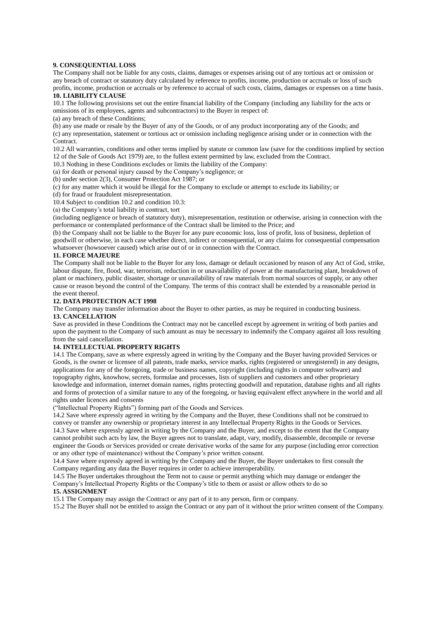# **9. CONSEQUENTIAL LOSS**

The Company shall not be liable for any costs, claims, damages or expenses arising out of any tortious act or omission or any breach of contract or statutory duty calculated by reference to profits, income, production or accruals or loss of such profits, income, production or accruals or by reference to accrual of such costs, claims, damages or expenses on a time basis.

### **10. LIABILITY CLAUSE**

10.1 The following provisions set out the entire financial liability of the Company (including any liability for the acts or omissions of its employees, agents and subcontractors) to the Buyer in respect of:

(a) any breach of these Conditions;

(b) any use made or resale by the Buyer of any of the Goods, or of any product incorporating any of the Goods; and (c) any representation, statement or tortious act or omission including negligence arising under or in connection with the Contract.

10.2 All warranties, conditions and other terms implied by statute or common law (save for the conditions implied by section 12 of the Sale of Goods Act 1979) are, to the fullest extent permitted by law, excluded from the Contract.

10.3 Nothing in these Conditions excludes or limits the liability of the Company:

(a) for death or personal injury caused by the Company's negligence; or

(b) under section 2(3), Consumer Protection Act 1987; or

(c) for any matter which it would be illegal for the Company to exclude or attempt to exclude its liability; or

(d) for fraud or fraudulent misrepresentation.

10.4 Subject to condition 10.2 and condition 10.3:

(a) the Company's total liability in contract, tort

(including negligence or breach of statutory duty), misrepresentation, restitution or otherwise, arising in connection with the performance or contemplated performance of the Contract shall be limited to the Price; and

(b) the Company shall not be liable to the Buyer for any pure economic loss, loss of profit, loss of business, depletion of goodwill or otherwise, in each case whether direct, indirect or consequential, or any claims for consequential compensation whatsoever (howsoever caused) which arise out of or in connection with the Contract.

## **11. FORCE MAJEURE**

The Company shall not be liable to the Buyer for any loss, damage or default occasioned by reason of any Act of God, strike, labour dispute, fire, flood, war, terrorism, reduction in or unavailability of power at the manufacturing plant, breakdown of plant or machinery, public disaster, shortage or unavailability of raw materials from normal sources of supply, or any other cause or reason beyond the control of the Company. The terms of this contract shall be extended by a reasonable period in the event thereof.

# **12. DATA PROTECTION ACT 1998**

The Company may transfer information about the Buyer to other parties, as may be required in conducting business. **13. CANCELLATION** 

Save as provided in these Conditions the Contract may not be cancelled except by agreement in writing of both parties and upon the payment to the Company of such amount as may be necessary to indemnify the Company against all loss resulting from the said cancellation.

# **14. INTELLECTUAL PROPERTY RIGHTS**

14.1 The Company, save as where expressly agreed in writing by the Company and the Buyer having provided Services or Goods, is the owner or licensee of all patents, trade marks, service marks, rights (registered or unregistered) in any designs, applications for any of the foregoing, trade or business names, copyright (including rights in computer software) and topography rights, knowhow, secrets, formulae and processes, lists of suppliers and customers and other proprietary knowledge and information, internet domain names, rights protecting goodwill and reputation, database rights and all rights and forms of protection of a similar nature to any of the foregoing, or having equivalent effect anywhere in the world and all rights under licences and consents

("Intellectual Property Rights") forming part of the Goods and Services.

14.2 Save where expressly agreed in writing by the Company and the Buyer, these Conditions shall not be construed to convey or transfer any ownership or proprietary interest in any Intellectual Property Rights in the Goods or Services. 14.3 Save where expressly agreed in writing by the Company and the Buyer, and except to the extent that the Company cannot prohibit such acts by law, the Buyer agrees not to translate, adapt, vary, modify, disassemble, decompile or reverse engineer the Goods or Services provided or create derivative works of the same for any purpose (including error correction or any other type of maintenance) without the Company's prior written consent.

14.4 Save where expressly agreed in writing by the Company and the Buyer, the Buyer undertakes to first consult the Company regarding any data the Buyer requires in order to achieve interoperability.

14.5 The Buyer undertakes throughout the Term not to cause or permit anything which may damage or endanger the Company's Intellectual Property Rights or the Company's title to them or assist or allow others to do so

# **15. ASSIGNMENT**

15.1 The Company may assign the Contract or any part of it to any person, firm or company.

15.2 The Buyer shall not be entitled to assign the Contract or any part of it without the prior written consent of the Company.